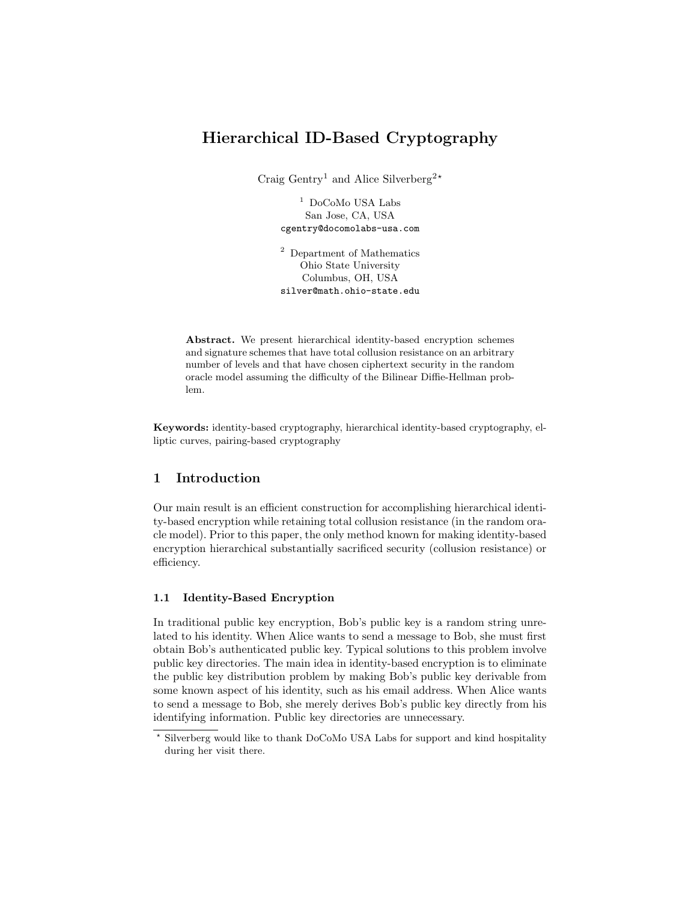# Hierarchical ID-Based Cryptography

Craig Gentry<sup>1</sup> and Alice Silverberg<sup>2\*</sup>

<sup>1</sup> DoCoMo USA Labs San Jose, CA, USA cgentry@docomolabs-usa.com

<sup>2</sup> Department of Mathematics Ohio State University Columbus, OH, USA silver@math.ohio-state.edu

Abstract. We present hierarchical identity-based encryption schemes and signature schemes that have total collusion resistance on an arbitrary number of levels and that have chosen ciphertext security in the random oracle model assuming the difficulty of the Bilinear Diffie-Hellman problem.

Keywords: identity-based cryptography, hierarchical identity-based cryptography, elliptic curves, pairing-based cryptography

# 1 Introduction

Our main result is an efficient construction for accomplishing hierarchical identity-based encryption while retaining total collusion resistance (in the random oracle model). Prior to this paper, the only method known for making identity-based encryption hierarchical substantially sacrificed security (collusion resistance) or efficiency.

# 1.1 Identity-Based Encryption

In traditional public key encryption, Bob's public key is a random string unrelated to his identity. When Alice wants to send a message to Bob, she must first obtain Bob's authenticated public key. Typical solutions to this problem involve public key directories. The main idea in identity-based encryption is to eliminate the public key distribution problem by making Bob's public key derivable from some known aspect of his identity, such as his email address. When Alice wants to send a message to Bob, she merely derives Bob's public key directly from his identifying information. Public key directories are unnecessary.

<sup>?</sup> Silverberg would like to thank DoCoMo USA Labs for support and kind hospitality during her visit there.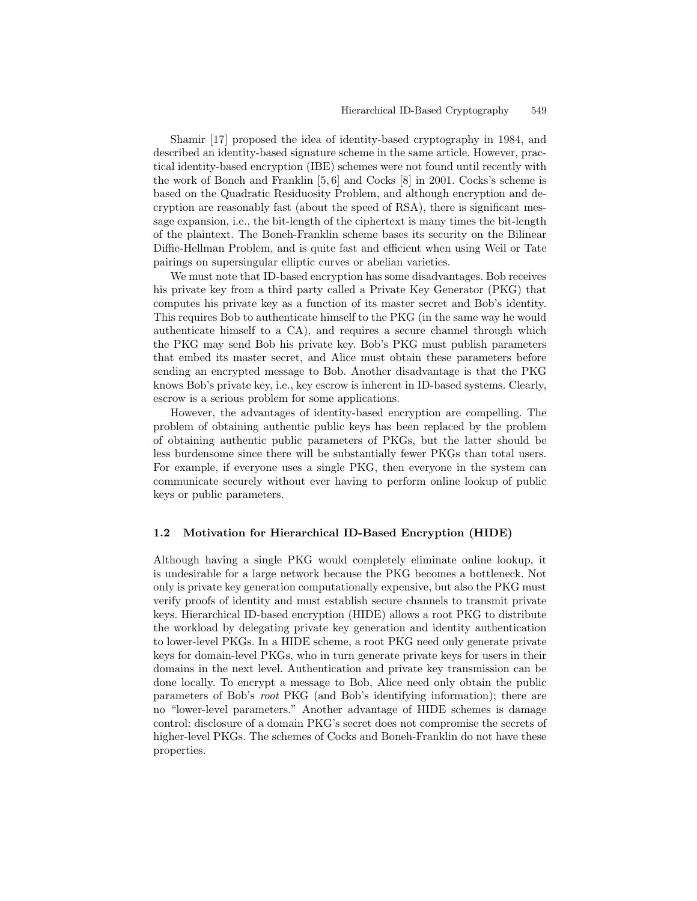Shamir [17] proposed the idea of identity-based cryptography in 1984, and described an identity-based signature scheme in the same article. However, practical identity-based encryption (IBE) schemes were not found until recently with the work of Boneh and Franklin [5, 6] and Cocks [8] in 2001. Cocks's scheme is based on the Quadratic Residuosity Problem, and although encryption and decryption are reasonably fast (about the speed of RSA), there is significant message expansion, i.e., the bit-length of the ciphertext is many times the bit-length of the plaintext. The Boneh-Franklin scheme bases its security on the Bilinear Diffie-Hellman Problem, and is quite fast and efficient when using Weil or Tate pairings on supersingular elliptic curves or abelian varieties.

We must note that ID-based encryption has some disadvantages. Bob receives his private key from a third party called a Private Key Generator (PKG) that computes his private key as a function of its master secret and Bob's identity. This requires Bob to authenticate himself to the PKG (in the same way he would authenticate himself to a CA), and requires a secure channel through which the PKG may send Bob his private key. Bob's PKG must publish parameters that embed its master secret, and Alice must obtain these parameters before sending an encrypted message to Bob. Another disadvantage is that the PKG knows Bob's private key, i.e., key escrow is inherent in ID-based systems. Clearly, escrow is a serious problem for some applications.

However, the advantages of identity-based encryption are compelling. The problem of obtaining authentic public keys has been replaced by the problem of obtaining authentic public parameters of PKGs, but the latter should be less burdensome since there will be substantially fewer PKGs than total users. For example, if everyone uses a single PKG, then everyone in the system can communicate securely without ever having to perform online lookup of public keys or public parameters.

### 1.2 Motivation for Hierarchical ID-Based Encryption (HIDE)

Although having a single PKG would completely eliminate online lookup, it is undesirable for a large network because the PKG becomes a bottleneck. Not only is private key generation computationally expensive, but also the PKG must verify proofs of identity and must establish secure channels to transmit private keys. Hierarchical ID-based encryption (HIDE) allows a root PKG to distribute the workload by delegating private key generation and identity authentication to lower-level PKGs. In a HIDE scheme, a root PKG need only generate private keys for domain-level PKGs, who in turn generate private keys for users in their domains in the next level. Authentication and private key transmission can be done locally. To encrypt a message to Bob, Alice need only obtain the public parameters of Bob's root PKG (and Bob's identifying information); there are no "lower-level parameters." Another advantage of HIDE schemes is damage control: disclosure of a domain PKG's secret does not compromise the secrets of higher-level PKGs. The schemes of Cocks and Boneh-Franklin do not have these properties.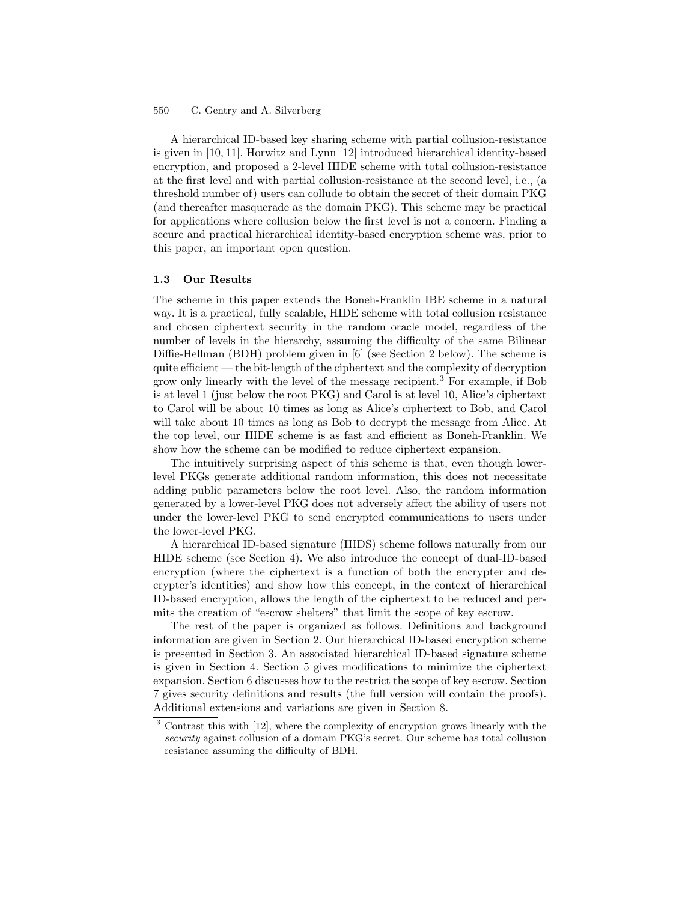A hierarchical ID-based key sharing scheme with partial collusion-resistance is given in [10, 11]. Horwitz and Lynn [12] introduced hierarchical identity-based encryption, and proposed a 2-level HIDE scheme with total collusion-resistance at the first level and with partial collusion-resistance at the second level, i.e., (a threshold number of) users can collude to obtain the secret of their domain PKG (and thereafter masquerade as the domain PKG). This scheme may be practical for applications where collusion below the first level is not a concern. Finding a secure and practical hierarchical identity-based encryption scheme was, prior to this paper, an important open question.

#### 1.3 Our Results

The scheme in this paper extends the Boneh-Franklin IBE scheme in a natural way. It is a practical, fully scalable, HIDE scheme with total collusion resistance and chosen ciphertext security in the random oracle model, regardless of the number of levels in the hierarchy, assuming the difficulty of the same Bilinear Diffie-Hellman (BDH) problem given in [6] (see Section 2 below). The scheme is quite efficient — the bit-length of the ciphertext and the complexity of decryption grow only linearly with the level of the message recipient.<sup>3</sup> For example, if Bob is at level 1 (just below the root PKG) and Carol is at level 10, Alice's ciphertext to Carol will be about 10 times as long as Alice's ciphertext to Bob, and Carol will take about 10 times as long as Bob to decrypt the message from Alice. At the top level, our HIDE scheme is as fast and efficient as Boneh-Franklin. We show how the scheme can be modified to reduce ciphertext expansion.

The intuitively surprising aspect of this scheme is that, even though lowerlevel PKGs generate additional random information, this does not necessitate adding public parameters below the root level. Also, the random information generated by a lower-level PKG does not adversely affect the ability of users not under the lower-level PKG to send encrypted communications to users under the lower-level PKG.

A hierarchical ID-based signature (HIDS) scheme follows naturally from our HIDE scheme (see Section 4). We also introduce the concept of dual-ID-based encryption (where the ciphertext is a function of both the encrypter and decrypter's identities) and show how this concept, in the context of hierarchical ID-based encryption, allows the length of the ciphertext to be reduced and permits the creation of "escrow shelters" that limit the scope of key escrow.

The rest of the paper is organized as follows. Definitions and background information are given in Section 2. Our hierarchical ID-based encryption scheme is presented in Section 3. An associated hierarchical ID-based signature scheme is given in Section 4. Section 5 gives modifications to minimize the ciphertext expansion. Section 6 discusses how to the restrict the scope of key escrow. Section 7 gives security definitions and results (the full version will contain the proofs). Additional extensions and variations are given in Section 8.

<sup>&</sup>lt;sup>3</sup> Contrast this with [12], where the complexity of encryption grows linearly with the security against collusion of a domain PKG's secret. Our scheme has total collusion resistance assuming the difficulty of BDH.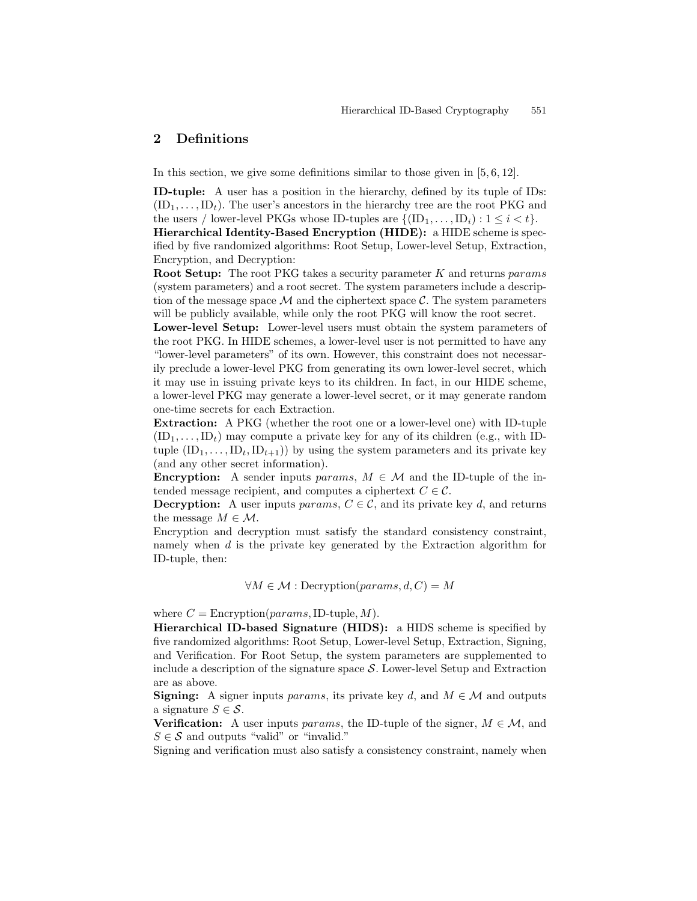# 2 Definitions

In this section, we give some definitions similar to those given in [5, 6, 12].

ID-tuple: A user has a position in the hierarchy, defined by its tuple of IDs:  $(ID_1, \ldots, ID_t)$ . The user's ancestors in the hierarchy tree are the root PKG and the users / lower-level PKGs whose ID-tuples are  $\{(\text{ID}_1, \ldots, \text{ID}_i) : 1 \leq i < t\}.$ Hierarchical Identity-Based Encryption (HIDE): a HIDE scheme is specified by five randomized algorithms: Root Setup, Lower-level Setup, Extraction, Encryption, and Decryption:

**Root Setup:** The root PKG takes a security parameter  $K$  and returns params (system parameters) and a root secret. The system parameters include a description of the message space  $\mathcal M$  and the ciphertext space  $\mathcal C$ . The system parameters will be publicly available, while only the root PKG will know the root secret.

Lower-level Setup: Lower-level users must obtain the system parameters of the root PKG. In HIDE schemes, a lower-level user is not permitted to have any "lower-level parameters" of its own. However, this constraint does not necessarily preclude a lower-level PKG from generating its own lower-level secret, which it may use in issuing private keys to its children. In fact, in our HIDE scheme, a lower-level PKG may generate a lower-level secret, or it may generate random one-time secrets for each Extraction.

Extraction: A PKG (whether the root one or a lower-level one) with ID-tuple  $(ID_1, \ldots, ID_t)$  may compute a private key for any of its children (e.g., with IDtuple  $(ID_1, \ldots, ID_t, ID_{t+1})$  by using the system parameters and its private key (and any other secret information).

**Encryption:** A sender inputs params,  $M \in \mathcal{M}$  and the ID-tuple of the intended message recipient, and computes a ciphertext  $C \in \mathcal{C}$ .

**Decryption:** A user inputs params,  $C \in \mathcal{C}$ , and its private key d, and returns the message  $M \in \mathcal{M}$ .

Encryption and decryption must satisfy the standard consistency constraint, namely when  $d$  is the private key generated by the Extraction algorithm for ID-tuple, then:

 $\forall M \in \mathcal{M}: \text{Decryption}(params, d, C) = M$ 

where  $C = \text{Encryption}(params, \text{ID-tuple}, M)$ .

Hierarchical ID-based Signature (HIDS): a HIDS scheme is specified by five randomized algorithms: Root Setup, Lower-level Setup, Extraction, Signing, and Verification. For Root Setup, the system parameters are supplemented to include a description of the signature space  $S$ . Lower-level Setup and Extraction are as above.

**Signing:** A signer inputs params, its private key d, and  $M \in \mathcal{M}$  and outputs a signature  $S \in \mathcal{S}$ .

**Verification:** A user inputs params, the ID-tuple of the signer,  $M \in \mathcal{M}$ , and  $S \in \mathcal{S}$  and outputs "valid" or "invalid."

Signing and verification must also satisfy a consistency constraint, namely when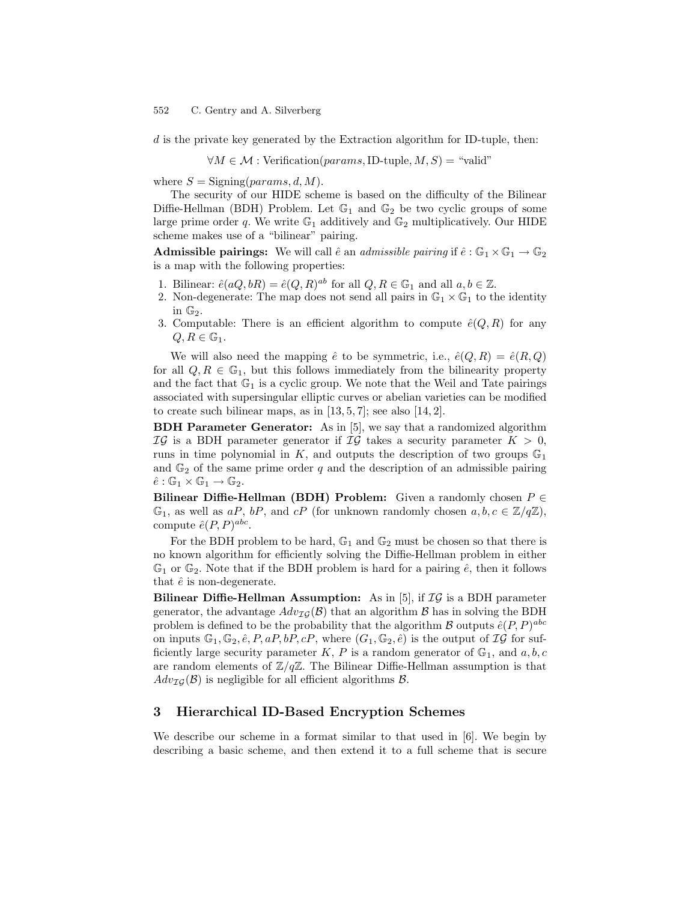$d$  is the private key generated by the Extraction algorithm for ID-tuple, then:

 $\forall M \in \mathcal{M} : \text{Verification}(params, \text{ID-tuple}, M, S) = \text{``valid''}$ 

where  $S =$  Signing( $params, d, M$ ).

The security of our HIDE scheme is based on the difficulty of the Bilinear Diffie-Hellman (BDH) Problem. Let  $\mathbb{G}_1$  and  $\mathbb{G}_2$  be two cyclic groups of some large prime order q. We write  $\mathbb{G}_1$  additively and  $\mathbb{G}_2$  multiplicatively. Our HIDE scheme makes use of a "bilinear" pairing.

**Admissible pairings:** We will call  $\hat{e}$  an *admissible pairing* if  $\hat{e}$  :  $\mathbb{G}_1 \times \mathbb{G}_1 \to \mathbb{G}_2$ is a map with the following properties:

- 1. Bilinear:  $\hat{e}(aQ, bR) = \hat{e}(Q, R)^{ab}$  for all  $Q, R \in \mathbb{G}_1$  and all  $a, b \in \mathbb{Z}$ .
- 2. Non-degenerate: The map does not send all pairs in  $\mathbb{G}_1 \times \mathbb{G}_1$  to the identity in  $\mathbb{G}_2$ .
- 3. Computable: There is an efficient algorithm to compute  $\hat{e}(Q, R)$  for any  $Q, R \in \mathbb{G}_1$ .

We will also need the mapping  $\hat{e}$  to be symmetric, i.e.,  $\hat{e}(Q, R) = \hat{e}(R, Q)$ for all  $Q, R \in \mathbb{G}_1$ , but this follows immediately from the bilinearity property and the fact that  $\mathbb{G}_1$  is a cyclic group. We note that the Weil and Tate pairings associated with supersingular elliptic curves or abelian varieties can be modified to create such bilinear maps, as in  $[13, 5, 7]$ ; see also  $[14, 2]$ .

BDH Parameter Generator: As in [5], we say that a randomized algorithm IG is a BDH parameter generator if IG takes a security parameter  $K > 0$ , runs in time polynomial in K, and outputs the description of two groups  $\mathbb{G}_1$ and  $\mathbb{G}_2$  of the same prime order q and the description of an admissible pairing  $\hat{e} : \mathbb{G}_1 \times \mathbb{G}_1 \to \mathbb{G}_2.$ 

Bilinear Diffie-Hellman (BDH) Problem: Given a randomly chosen  $P \in$  $\mathbb{G}_1$ , as well as aP, bP, and cP (for unknown randomly chosen  $a, b, c \in \mathbb{Z}/q\mathbb{Z}$ ), compute  $\hat{e}(P,P)^{abc}$ .

For the BDH problem to be hard,  $\mathbb{G}_1$  and  $\mathbb{G}_2$  must be chosen so that there is no known algorithm for efficiently solving the Diffie-Hellman problem in either  $\mathbb{G}_1$  or  $\mathbb{G}_2$ . Note that if the BDH problem is hard for a pairing  $\hat{e}$ , then it follows that  $\hat{e}$  is non-degenerate.

**Bilinear Diffie-Hellman Assumption:** As in [5], if  $I\mathcal{G}$  is a BDH parameter generator, the advantage  $Adv_{LG}(\mathcal{B})$  that an algorithm  $\mathcal{B}$  has in solving the BDH problem is defined to be the probability that the algorithm  $\mathcal B$  outputs  $\hat e(P, P)^{abc}$ on inputs  $\mathbb{G}_1, \mathbb{G}_2, \hat{e}, P, aP, bP, cP$ , where  $(G_1, \mathbb{G}_2, \hat{e})$  is the output of  $\mathcal{IG}$  for sufficiently large security parameter K, P is a random generator of  $\mathbb{G}_1$ , and  $a, b, c$ are random elements of  $\mathbb{Z}/q\mathbb{Z}$ . The Bilinear Diffie-Hellman assumption is that  $Adv_{\mathcal{IG}}(\mathcal{B})$  is negligible for all efficient algorithms  $\mathcal{B}$ .

# 3 Hierarchical ID-Based Encryption Schemes

We describe our scheme in a format similar to that used in [6]. We begin by describing a basic scheme, and then extend it to a full scheme that is secure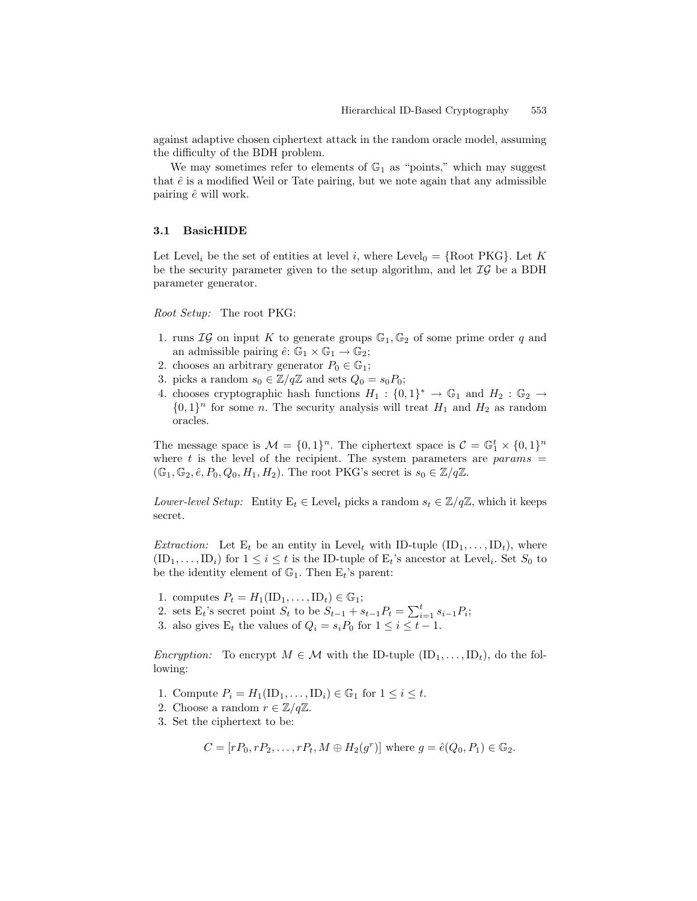against adaptive chosen ciphertext attack in the random oracle model, assuming the difficulty of the BDH problem.

We may sometimes refer to elements of  $\mathbb{G}_1$  as "points," which may suggest that  $\hat{e}$  is a modified Weil or Tate pairing, but we note again that any admissible pairing  $\hat{e}$  will work.

#### 3.1 BasicHIDE

Let Level<sub>i</sub> be the set of entities at level i, where Level<sub>0</sub> = {Root PKG}. Let K be the security parameter given to the setup algorithm, and let  $\mathcal{IG}$  be a BDH parameter generator.

Root Setup: The root PKG:

- 1. runs  $IG$  on input K to generate groups  $\mathbb{G}_1, \mathbb{G}_2$  of some prime order q and an admissible pairing  $\hat{e}$ :  $\mathbb{G}_1 \times \mathbb{G}_1 \to \mathbb{G}_2$ ;
- 2. chooses an arbitrary generator  $P_0 \in \mathbb{G}_1$ ;
- 3. picks a random  $s_0 \in \mathbb{Z}/q\mathbb{Z}$  and sets  $Q_0 = s_0 P_0$ ;
- 4. chooses cryptographic hash functions  $H_1: \{0,1\}^* \to \mathbb{G}_1$  and  $H_2: \mathbb{G}_2 \to$  $\{0,1\}^n$  for some n. The security analysis will treat  $H_1$  and  $H_2$  as random oracles.

The message space is  $\mathcal{M} = \{0, 1\}^n$ . The ciphertext space is  $\mathcal{C} = \mathbb{G}_1^t \times \{0, 1\}^n$ where t is the level of the recipient. The system parameters are params  $=$  $(\mathbb{G}_1, \mathbb{G}_2, \hat{e}, P_0, Q_0, H_1, H_2)$ . The root PKG's secret is  $s_0 \in \mathbb{Z}/q\mathbb{Z}$ .

Lower-level Setup: Entity  $E_t \in \text{Level}_t$  picks a random  $s_t \in \mathbb{Z}/q\mathbb{Z}$ , which it keeps secret.

Extraction: Let  $E_t$  be an entity in Level<sub>t</sub> with ID-tuple  $(ID_1, \ldots, ID_t)$ , where  $(ID_1, \ldots, ID_i)$  for  $1 \leq i \leq t$  is the ID-tuple of  $E_t$ 's ancestor at Level<sub>i</sub>. Set  $S_0$  to be the identity element of  $\mathbb{G}_1$ . Then  $E_t$ 's parent:

- 1. computes  $P_t = H_1(\text{ID}_1, \ldots, \text{ID}_t) \in \mathbb{G}_1;$
- 2. sets  $E_t$ 's secret point  $S_t$  to be  $S_{t-1} + s_{t-1}P_t = \sum_{i=1}^t s_{i-1}P_i$ ;
- 3. also gives  $E_t$  the values of  $Q_i = s_i P_0$  for  $1 \le i \le t 1$ .

*Encryption:* To encrypt  $M \in \mathcal{M}$  with the ID-tuple  $(ID_1, \ldots, ID_t)$ , do the following:

- 1. Compute  $P_i = H_1(\text{ID}_1, \ldots, \text{ID}_i) \in \mathbb{G}_1$  for  $1 \leq i \leq t$ .
- 2. Choose a random  $r \in \mathbb{Z}/q\mathbb{Z}$ .
- 3. Set the ciphertext to be:

$$
C = [rP_0, rP_2, \dots, rP_t, M \oplus H_2(g^r)] \text{ where } g = \hat{e}(Q_0, P_1) \in \mathbb{G}_2.
$$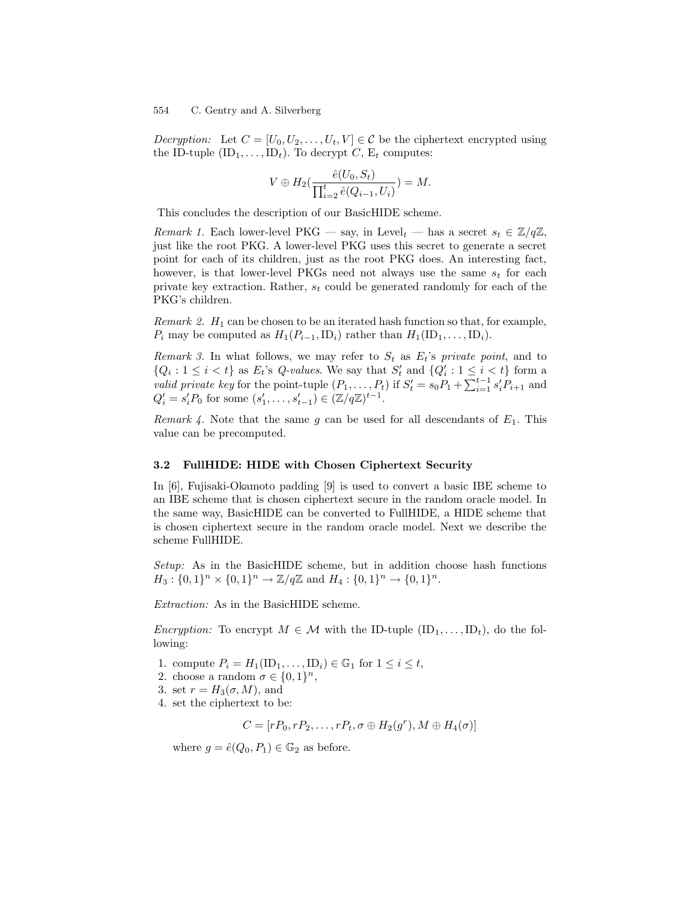*Decryption:* Let  $C = [U_0, U_2, \ldots, U_t, V] \in \mathcal{C}$  be the ciphertext encrypted using the ID-tuple  $(ID_1, \ldots, ID_t)$ . To decrypt C,  $E_t$  computes:

$$
V \oplus H_2(\frac{\hat{e}(U_0, S_t)}{\prod_{i=2}^t \hat{e}(Q_{i-1}, U_i)}) = M.
$$

This concludes the description of our BasicHIDE scheme.

Remark 1. Each lower-level PKG — say, in Level<sub>t</sub> — has a secret  $s_t \in \mathbb{Z}/q\mathbb{Z}$ , just like the root PKG. A lower-level PKG uses this secret to generate a secret point for each of its children, just as the root PKG does. An interesting fact, however, is that lower-level PKGs need not always use the same  $s_t$  for each private key extraction. Rather,  $s_t$  could be generated randomly for each of the PKG's children.

Remark 2.  $H_1$  can be chosen to be an iterated hash function so that, for example,  $P_i$  may be computed as  $H_1(P_{i-1}, \text{ID}_i)$  rather than  $H_1(\text{ID}_1, \ldots, \text{ID}_i)$ .

Remark 3. In what follows, we may refer to  $S_t$  as  $E_t$ 's private point, and to  $\{Q_i : 1 \leq i < t\}$  as  $E_i$ 's  $Q$ -values. We say that  $S'_t$  and  $\{Q'_i : 1 \leq i < t\}$  form a valid private key for the point-tuple  $(P_1, \ldots, P_t)$  if  $S'_t = s_0 P_1 + \sum_{i=1}^{t-1} s'_i P_{i+1}$  and  $Q'_i = s'_i P_0$  for some  $(s'_1, \ldots, s'_{t-1}) \in (\mathbb{Z}/q\mathbb{Z})^{t-1}$ .

Remark 4. Note that the same g can be used for all descendants of  $E_1$ . This value can be precomputed.

### 3.2 FullHIDE: HIDE with Chosen Ciphertext Security

In [6], Fujisaki-Okamoto padding [9] is used to convert a basic IBE scheme to an IBE scheme that is chosen ciphertext secure in the random oracle model. In the same way, BasicHIDE can be converted to FullHIDE, a HIDE scheme that is chosen ciphertext secure in the random oracle model. Next we describe the scheme FullHIDE.

Setup: As in the BasicHIDE scheme, but in addition choose hash functions  $H_3: \{0,1\}^n \times \{0,1\}^n \to \mathbb{Z}/q\mathbb{Z}$  and  $H_4: \{0,1\}^n \to \{0,1\}^n$ .

Extraction: As in the BasicHIDE scheme.

Encryption: To encrypt  $M \in \mathcal{M}$  with the ID-tuple  $(ID_1, \ldots, ID_t)$ , do the following:

- 1. compute  $P_i = H_1(\text{ID}_1, \ldots, \text{ID}_i) \in \mathbb{G}_1$  for  $1 \leq i \leq t$ ,
- 2. choose a random  $\sigma \in \{0,1\}^n$ ,
- 3. set  $r = H_3(\sigma, M)$ , and
- 4. set the ciphertext to be:

 $C = [rP_0, rP_2, \dots, rP_t, \sigma \oplus H_2(g^r), M \oplus H_4(\sigma)]$ 

where  $g = \hat{e}(Q_0, P_1) \in \mathbb{G}_2$  as before.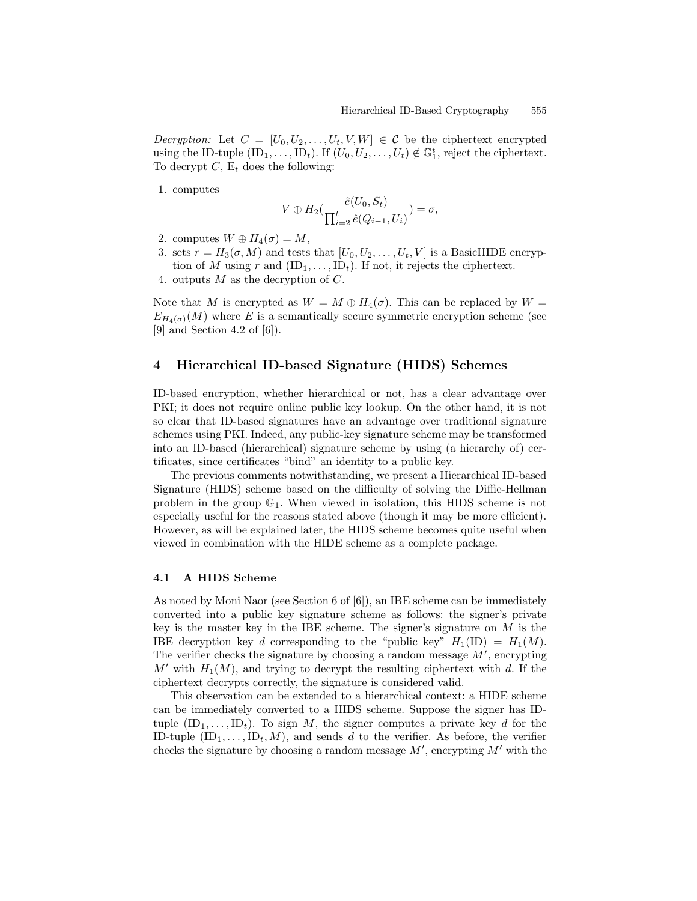Decryption: Let  $C = [U_0, U_2, \ldots, U_t, V, W] \in \mathcal{C}$  be the ciphertext encrypted using the ID-tuple  $(ID_1, ..., ID_t)$ . If  $(U_0, U_2, ..., U_t) \notin \mathbb{G}_1^t$ , reject the ciphertext. To decrypt  $C$ ,  $E_t$  does the following:

1. computes

$$
V \oplus H_2\left(\frac{\hat{e}(U_0, S_t)}{\prod_{i=2}^t \hat{e}(Q_{i-1}, U_i)}\right) = \sigma,
$$

- 2. computes  $W \oplus H_4(\sigma) = M$ ,
- 3. sets  $r = H_3(\sigma, M)$  and tests that  $[U_0, U_2, \ldots, U_t, V]$  is a BasicHIDE encryption of M using r and  $(ID_1, \ldots, ID_t)$ . If not, it rejects the ciphertext.
- 4. outputs  $M$  as the decryption of  $C$ .

Note that M is encrypted as  $W = M \oplus H_4(\sigma)$ . This can be replaced by  $W =$  $E_{H_4(\sigma)}(M)$  where E is a semantically secure symmetric encryption scheme (see [9] and Section 4.2 of [6]).

## 4 Hierarchical ID-based Signature (HIDS) Schemes

ID-based encryption, whether hierarchical or not, has a clear advantage over PKI; it does not require online public key lookup. On the other hand, it is not so clear that ID-based signatures have an advantage over traditional signature schemes using PKI. Indeed, any public-key signature scheme may be transformed into an ID-based (hierarchical) signature scheme by using (a hierarchy of) certificates, since certificates "bind" an identity to a public key.

The previous comments notwithstanding, we present a Hierarchical ID-based Signature (HIDS) scheme based on the difficulty of solving the Diffie-Hellman problem in the group  $\mathbb{G}_1$ . When viewed in isolation, this HIDS scheme is not especially useful for the reasons stated above (though it may be more efficient). However, as will be explained later, the HIDS scheme becomes quite useful when viewed in combination with the HIDE scheme as a complete package.

#### 4.1 A HIDS Scheme

As noted by Moni Naor (see Section 6 of [6]), an IBE scheme can be immediately converted into a public key signature scheme as follows: the signer's private key is the master key in the IBE scheme. The signer's signature on  $M$  is the IBE decryption key d corresponding to the "public key"  $H_1(\text{ID}) = H_1(M)$ . The verifier checks the signature by choosing a random message  $M'$ , encrypting  $M'$  with  $H_1(M)$ , and trying to decrypt the resulting ciphertext with d. If the ciphertext decrypts correctly, the signature is considered valid.

This observation can be extended to a hierarchical context: a HIDE scheme can be immediately converted to a HIDS scheme. Suppose the signer has IDtuple  $(ID_1, \ldots, ID_t)$ . To sign M, the signer computes a private key d for the ID-tuple  $(ID_1, \ldots, ID_t, M)$ , and sends d to the verifier. As before, the verifier checks the signature by choosing a random message  $M'$ , encrypting  $M'$  with the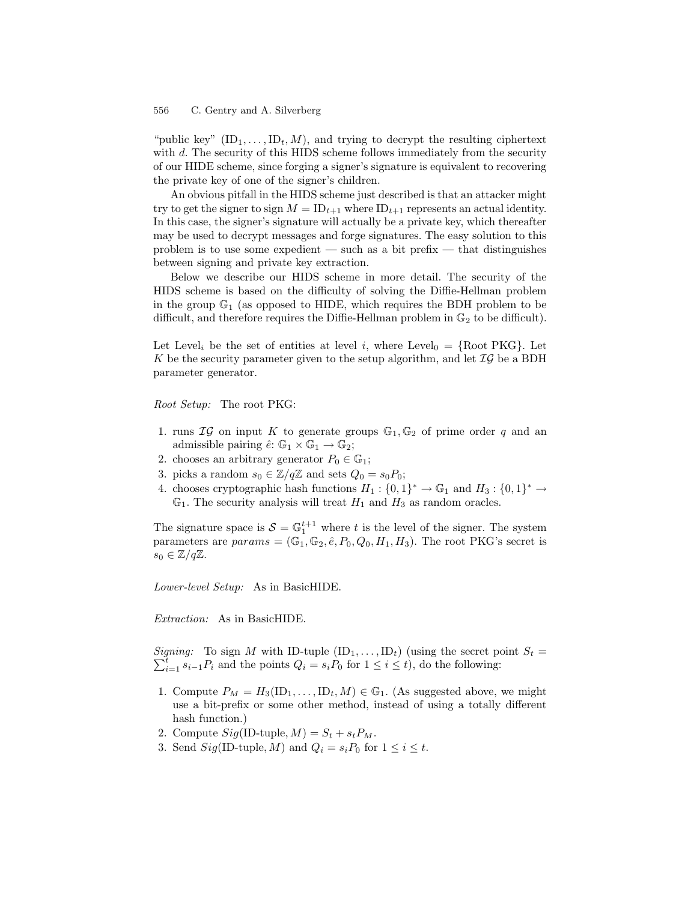"public key"  $(ID_1, \ldots, ID_t, M)$ , and trying to decrypt the resulting ciphertext with d. The security of this HIDS scheme follows immediately from the security of our HIDE scheme, since forging a signer's signature is equivalent to recovering the private key of one of the signer's children.

An obvious pitfall in the HIDS scheme just described is that an attacker might try to get the signer to sign  $M = ID_{t+1}$  where  $ID_{t+1}$  represents an actual identity. In this case, the signer's signature will actually be a private key, which thereafter may be used to decrypt messages and forge signatures. The easy solution to this problem is to use some expedient  $-$  such as a bit prefix  $-$  that distinguishes between signing and private key extraction.

Below we describe our HIDS scheme in more detail. The security of the HIDS scheme is based on the difficulty of solving the Diffie-Hellman problem in the group  $\mathbb{G}_1$  (as opposed to HIDE, which requires the BDH problem to be difficult, and therefore requires the Diffie-Hellman problem in  $\mathbb{G}_2$  to be difficult).

Let Level<sub>i</sub> be the set of entities at level i, where Level<sub>0</sub> = {Root PKG}. Let K be the security parameter given to the setup algorithm, and let  $\mathcal{IG}$  be a BDH parameter generator.

Root Setup: The root PKG:

- 1. runs  $IG$  on input K to generate groups  $\mathbb{G}_1, \mathbb{G}_2$  of prime order q and an admissible pairing  $\hat{e}$ :  $\mathbb{G}_1 \times \mathbb{G}_1 \to \mathbb{G}_2$ ;
- 2. chooses an arbitrary generator  $P_0 \in \mathbb{G}_1$ ;
- 3. picks a random  $s_0 \in \mathbb{Z}/q\mathbb{Z}$  and sets  $Q_0 = s_0 P_0$ ;
- 4. chooses cryptographic hash functions  $H_1: \{0,1\}^* \to \mathbb{G}_1$  and  $H_3: \{0,1\}^* \to$  $\mathbb{G}_1$ . The security analysis will treat  $H_1$  and  $H_3$  as random oracles.

The signature space is  $S = \mathbb{G}_1^{t+1}$  where t is the level of the signer. The system parameters are params =  $(\mathbb{G}_1, \mathbb{G}_2, \hat{e}, P_0, Q_0, H_1, H_3)$ . The root PKG's secret is  $s_0 \in \mathbb{Z}/q\mathbb{Z}$ .

Lower-level Setup: As in BasicHIDE.

Extraction: As in BasicHIDE.

Signing: To sign M with ID-tuple  $(ID_1, \ldots, ID_t)$  (using the secret point  $S_t =$  $\sum_{i=1}^{t} s_{i-1} P_i$  and the points  $Q_i = s_i P_0$  for  $1 \leq i \leq t$ , do the following:

- 1. Compute  $P_M = H_3(\mathbb{ID}_1, \ldots, \mathbb{ID}_t, M) \in \mathbb{G}_1$ . (As suggested above, we might use a bit-prefix or some other method, instead of using a totally different hash function.)
- 2. Compute  $Sig(ID\text{-tuple}, M) = S_t + s_t P_M$ .
- 3. Send  $Sig(\text{ID-tuple}, M)$  and  $Q_i = s_i P_0$  for  $1 \leq i \leq t$ .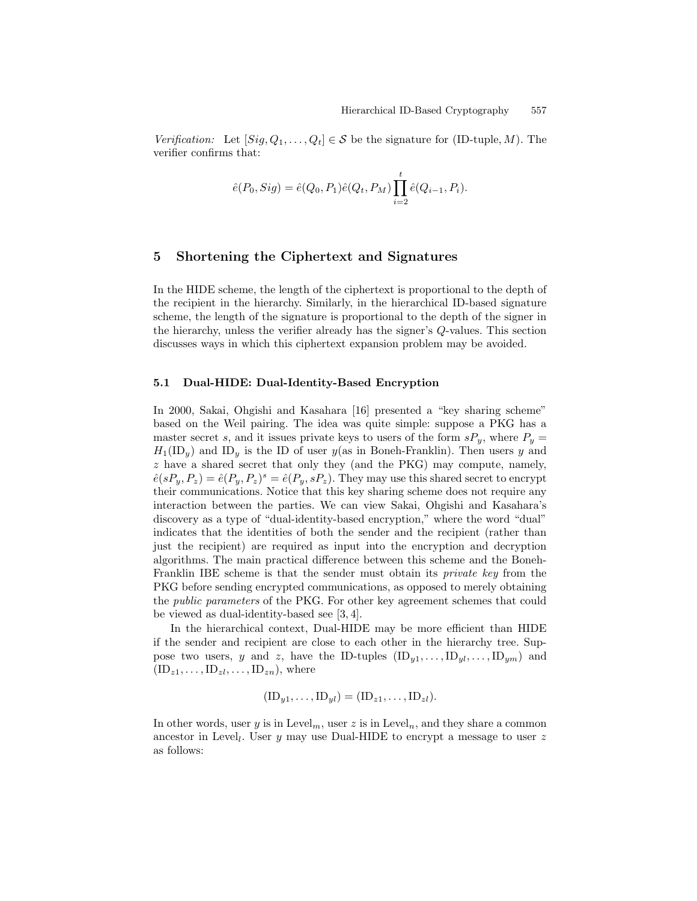Verification: Let  $[Sig, Q_1, \ldots, Q_t] \in \mathcal{S}$  be the signature for (ID-tuple, M). The verifier confirms that:

$$
\hat{e}(P_0, Sig) = \hat{e}(Q_0, P_1)\hat{e}(Q_t, P_M) \prod_{i=2}^t \hat{e}(Q_{i-1}, P_i).
$$

# 5 Shortening the Ciphertext and Signatures

In the HIDE scheme, the length of the ciphertext is proportional to the depth of the recipient in the hierarchy. Similarly, in the hierarchical ID-based signature scheme, the length of the signature is proportional to the depth of the signer in the hierarchy, unless the verifier already has the signer's Q-values. This section discusses ways in which this ciphertext expansion problem may be avoided.

#### 5.1 Dual-HIDE: Dual-Identity-Based Encryption

In 2000, Sakai, Ohgishi and Kasahara [16] presented a "key sharing scheme" based on the Weil pairing. The idea was quite simple: suppose a PKG has a master secret s, and it issues private keys to users of the form  $sP_y$ , where  $P_y =$  $H_1(ID_y)$  and ID<sub>y</sub> is the ID of user y(as in Boneh-Franklin). Then users y and z have a shared secret that only they (and the PKG) may compute, namely,  $\hat{e}(sP_y, P_z) = \hat{e}(P_y, P_z)^s = \hat{e}(P_y, sP_z)$ . They may use this shared secret to encrypt their communications. Notice that this key sharing scheme does not require any interaction between the parties. We can view Sakai, Ohgishi and Kasahara's discovery as a type of "dual-identity-based encryption," where the word "dual" indicates that the identities of both the sender and the recipient (rather than just the recipient) are required as input into the encryption and decryption algorithms. The main practical difference between this scheme and the Boneh-Franklin IBE scheme is that the sender must obtain its *private key* from the PKG before sending encrypted communications, as opposed to merely obtaining the public parameters of the PKG. For other key agreement schemes that could be viewed as dual-identity-based see [3, 4].

In the hierarchical context, Dual-HIDE may be more efficient than HIDE if the sender and recipient are close to each other in the hierarchy tree. Suppose two users, y and z, have the ID-tuples  $(ID_{y1}, \ldots, ID_{yl}, \ldots, ID_{ym})$  and  $(ID_{z1},...,ID_{zl},...,ID_{zn}),$  where

$$
(\text{ID}_{y1},\ldots,\text{ID}_{yl})=(\text{ID}_{z1},\ldots,\text{ID}_{zl}).
$$

In other words, user y is in Level<sub>m</sub>, user z is in Level<sub>n</sub>, and they share a common ancestor in Level<sub>l</sub>. User  $y$  may use Dual-HIDE to encrypt a message to user  $z$ as follows: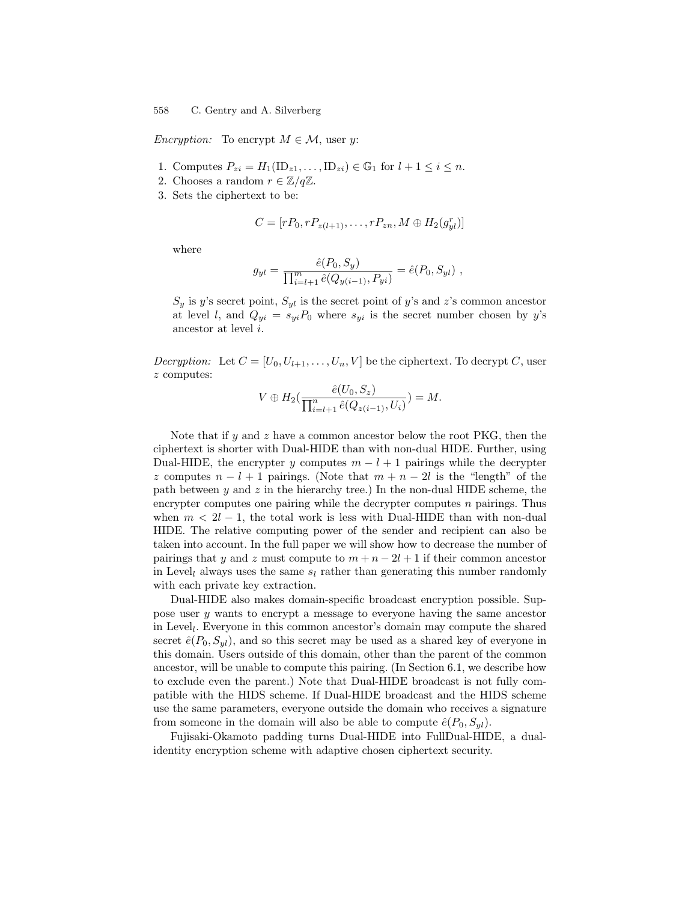*Encryption:* To encrypt  $M \in \mathcal{M}$ , user y:

- 1. Computes  $P_{zi} = H_1(\text{ID}_{z1}, \ldots, \text{ID}_{zi}) \in \mathbb{G}_1$  for  $l + 1 \leq i \leq n$ .
- 2. Chooses a random  $r \in \mathbb{Z}/q\mathbb{Z}$ .
- 3. Sets the ciphertext to be:

$$
C=[rP_0, rP_{z(l+1)}, \ldots, rP_{zn}, M \oplus H_2(g_{yl}^r)]
$$

where

$$
g_{yl} = \frac{\hat{e}(P_0, S_y)}{\prod_{i=l+1}^m \hat{e}(Q_{y(i-1)}, P_{yi})} = \hat{e}(P_0, S_{yl}),
$$

 $S_y$  is y's secret point,  $S_{yl}$  is the secret point of y's and z's common ancestor at level l, and  $Q_{yi} = s_{yi}P_0$  where  $s_{yi}$  is the secret number chosen by y's ancestor at level i.

*Decryption:* Let  $C = [U_0, U_{l+1}, \ldots, U_n, V]$  be the ciphertext. To decrypt C, user z computes:

$$
V \oplus H_2(\frac{\hat{e}(U_0, S_z)}{\prod_{i=l+1}^n \hat{e}(Q_{z(i-1)}, U_i)}) = M.
$$

Note that if y and z have a common ancestor below the root PKG, then the ciphertext is shorter with Dual-HIDE than with non-dual HIDE. Further, using Dual-HIDE, the encrypter y computes  $m - l + 1$  pairings while the decrypter z computes  $n - l + 1$  pairings. (Note that  $m + n - 2l$  is the "length" of the path between y and z in the hierarchy tree.) In the non-dual HIDE scheme, the encrypter computes one pairing while the decrypter computes  $n$  pairings. Thus when  $m < 2l - 1$ , the total work is less with Dual-HIDE than with non-dual HIDE. The relative computing power of the sender and recipient can also be taken into account. In the full paper we will show how to decrease the number of pairings that y and z must compute to  $m + n - 2l + 1$  if their common ancestor in Level<sub>l</sub> always uses the same  $s_l$  rather than generating this number randomly with each private key extraction.

Dual-HIDE also makes domain-specific broadcast encryption possible. Suppose user y wants to encrypt a message to everyone having the same ancestor in Level<sub>l</sub>. Everyone in this common ancestor's domain may compute the shared secret  $\hat{e}(P_0, S_{ul})$ , and so this secret may be used as a shared key of everyone in this domain. Users outside of this domain, other than the parent of the common ancestor, will be unable to compute this pairing. (In Section 6.1, we describe how to exclude even the parent.) Note that Dual-HIDE broadcast is not fully compatible with the HIDS scheme. If Dual-HIDE broadcast and the HIDS scheme use the same parameters, everyone outside the domain who receives a signature from someone in the domain will also be able to compute  $\hat{e}(P_0, S_{yl})$ .

Fujisaki-Okamoto padding turns Dual-HIDE into FullDual-HIDE, a dualidentity encryption scheme with adaptive chosen ciphertext security.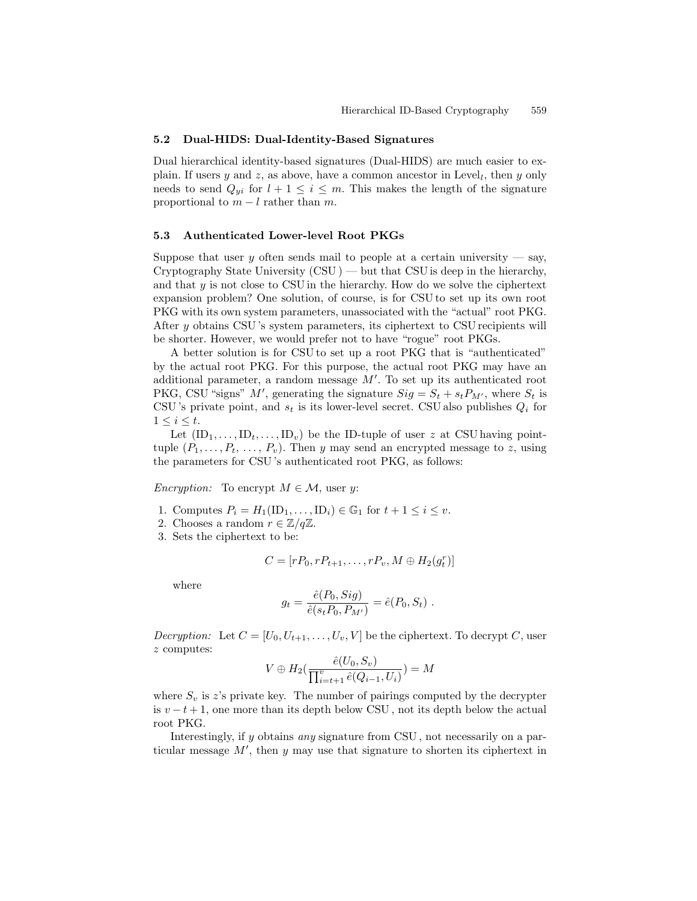## 5.2 Dual-HIDS: Dual-Identity-Based Signatures

Dual hierarchical identity-based signatures (Dual-HIDS) are much easier to explain. If users  $y$  and  $z$ , as above, have a common ancestor in Level<sub>l</sub>, then  $y$  only needs to send  $Q_{ui}$  for  $l + 1 \leq i \leq m$ . This makes the length of the signature proportional to  $m - l$  rather than m.

#### 5.3 Authenticated Lower-level Root PKGs

Suppose that user  $y$  often sends mail to people at a certain university — say, Cryptography State University (CSU ) — but that CSU is deep in the hierarchy, and that  $y$  is not close to CSU in the hierarchy. How do we solve the ciphertext expansion problem? One solution, of course, is for CSU to set up its own root PKG with its own system parameters, unassociated with the "actual" root PKG. After y obtains CSU 's system parameters, its ciphertext to CSU recipients will be shorter. However, we would prefer not to have "rogue" root PKGs.

A better solution is for CSU to set up a root PKG that is "authenticated" by the actual root PKG. For this purpose, the actual root PKG may have an additional parameter, a random message  $M'$ . To set up its authenticated root PKG, CSU "signs" M', generating the signature  $Sig = S_t + s_t P_{M'}$ , where  $S_t$  is CSU 's private point, and  $s_t$  is its lower-level secret. CSU also publishes  $Q_i$  for  $1 \leq i \leq t$ .

Let  $(ID_1, \ldots, ID_t, \ldots, ID_v)$  be the ID-tuple of user z at CSU having pointtuple  $(P_1, \ldots, P_t, \ldots, P_v)$ . Then y may send an encrypted message to z, using the parameters for CSU 's authenticated root PKG, as follows:

Encryption: To encrypt  $M \in \mathcal{M}$ , user y:

- 1. Computes  $P_i = H_1(\text{ID}_1, \ldots, \text{ID}_i) \in \mathbb{G}_1$  for  $t + 1 \leq i \leq v$ .
- 2. Chooses a random  $r \in \mathbb{Z}/q\mathbb{Z}$ .
- 3. Sets the ciphertext to be:

$$
C = [rP_0, rP_{t+1}, \dots, rP_v, M \oplus H_2(g_t^r)]
$$

where

$$
g_t = \frac{\hat{e}(P_0, Sig)}{\hat{e}(s_t P_0, P_{M'})} = \hat{e}(P_0, S_t) .
$$

*Decryption:* Let  $C = [U_0, U_{t+1}, \ldots, U_v, V]$  be the ciphertext. To decrypt C, user z computes:

$$
V \oplus H_2(\frac{\hat{e}(U_0, S_v)}{\prod_{i=t+1}^v \hat{e}(Q_{i-1}, U_i)}) = M
$$

where  $S_v$  is z's private key. The number of pairings computed by the decrypter is  $v - t + 1$ , one more than its depth below CSU, not its depth below the actual root PKG.

Interestingly, if y obtains any signature from CSU , not necessarily on a particular message  $M'$ , then y may use that signature to shorten its ciphertext in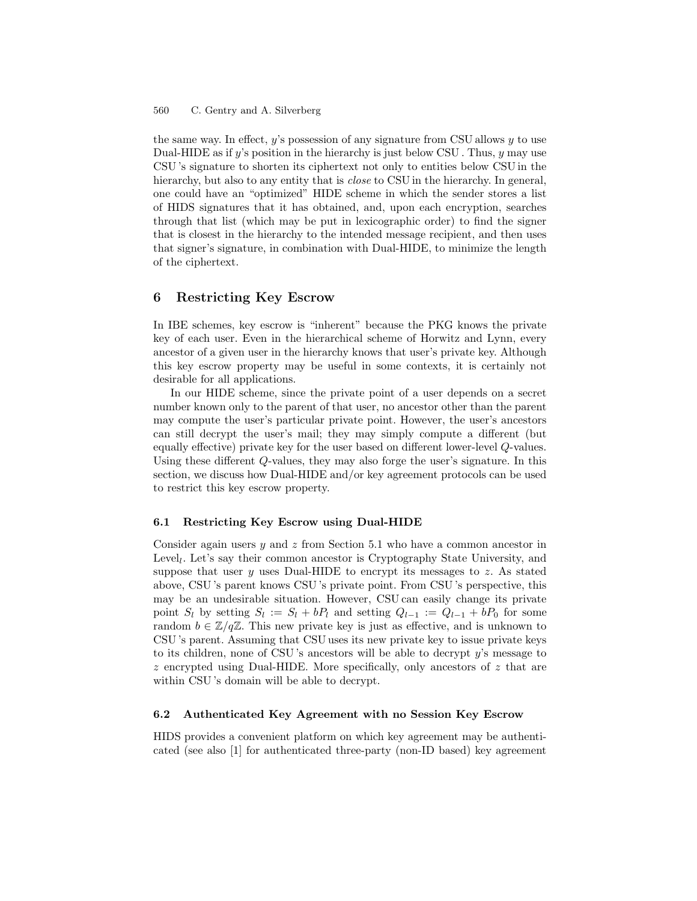the same way. In effect,  $y$ 's possession of any signature from CSU allows  $y$  to use Dual-HIDE as if y's position in the hierarchy is just below CSU. Thus, y may use CSU 's signature to shorten its ciphertext not only to entities below CSU in the hierarchy, but also to any entity that is *close* to CSU in the hierarchy. In general, one could have an "optimized" HIDE scheme in which the sender stores a list of HIDS signatures that it has obtained, and, upon each encryption, searches through that list (which may be put in lexicographic order) to find the signer that is closest in the hierarchy to the intended message recipient, and then uses that signer's signature, in combination with Dual-HIDE, to minimize the length of the ciphertext.

# 6 Restricting Key Escrow

In IBE schemes, key escrow is "inherent" because the PKG knows the private key of each user. Even in the hierarchical scheme of Horwitz and Lynn, every ancestor of a given user in the hierarchy knows that user's private key. Although this key escrow property may be useful in some contexts, it is certainly not desirable for all applications.

In our HIDE scheme, since the private point of a user depends on a secret number known only to the parent of that user, no ancestor other than the parent may compute the user's particular private point. However, the user's ancestors can still decrypt the user's mail; they may simply compute a different (but equally effective) private key for the user based on different lower-level Q-values. Using these different Q-values, they may also forge the user's signature. In this section, we discuss how Dual-HIDE and/or key agreement protocols can be used to restrict this key escrow property.

### 6.1 Restricting Key Escrow using Dual-HIDE

Consider again users  $y$  and  $z$  from Section 5.1 who have a common ancestor in Level<sub>l</sub>. Let's say their common ancestor is Cryptography State University, and suppose that user  $y$  uses Dual-HIDE to encrypt its messages to  $z$ . As stated above, CSU 's parent knows CSU 's private point. From CSU 's perspective, this may be an undesirable situation. However, CSU can easily change its private point  $S_l$  by setting  $S_l := S_l + bP_l$  and setting  $Q_{l-1} := Q_{l-1} + bP_0$  for some random  $b \in \mathbb{Z}/q\mathbb{Z}$ . This new private key is just as effective, and is unknown to CSU 's parent. Assuming that CSU uses its new private key to issue private keys to its children, none of CSU's ancestors will be able to decrypt  $y$ 's message to z encrypted using Dual-HIDE. More specifically, only ancestors of z that are within CSU 's domain will be able to decrypt.

#### 6.2 Authenticated Key Agreement with no Session Key Escrow

HIDS provides a convenient platform on which key agreement may be authenticated (see also [1] for authenticated three-party (non-ID based) key agreement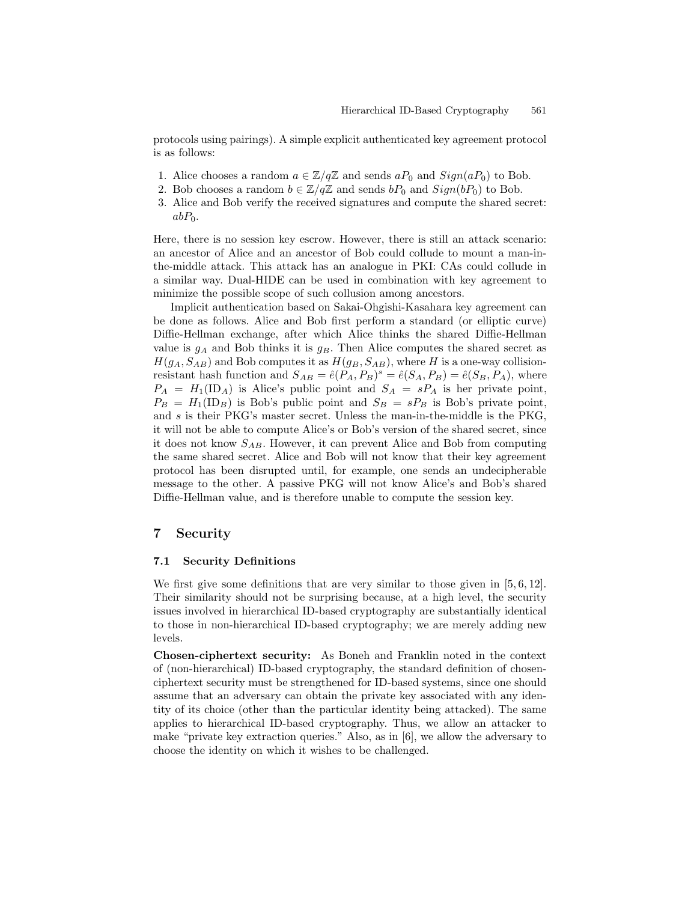protocols using pairings). A simple explicit authenticated key agreement protocol is as follows:

- 1. Alice chooses a random  $a \in \mathbb{Z}/q\mathbb{Z}$  and sends  $aP_0$  and  $Sign(aP_0)$  to Bob.
- 2. Bob chooses a random  $b \in \mathbb{Z}/q\mathbb{Z}$  and sends  $bP_0$  and  $Sign(bP_0)$  to Bob.
- 3. Alice and Bob verify the received signatures and compute the shared secret:  $abP_0$ .

Here, there is no session key escrow. However, there is still an attack scenario: an ancestor of Alice and an ancestor of Bob could collude to mount a man-inthe-middle attack. This attack has an analogue in PKI: CAs could collude in a similar way. Dual-HIDE can be used in combination with key agreement to minimize the possible scope of such collusion among ancestors.

Implicit authentication based on Sakai-Ohgishi-Kasahara key agreement can be done as follows. Alice and Bob first perform a standard (or elliptic curve) Diffie-Hellman exchange, after which Alice thinks the shared Diffie-Hellman value is  $g_A$  and Bob thinks it is  $g_B$ . Then Alice computes the shared secret as  $H(g_A, S_{AB})$  and Bob computes it as  $H(g_B, S_{AB})$ , where H is a one-way collisionresistant hash function and  $S_{AB} = \hat{e}(P_A, P_B)^s = \hat{e}(S_A, P_B) = \hat{e}(S_B, P_A)$ , where  $P_A = H_1(ID_A)$  is Alice's public point and  $S_A = sP_A$  is her private point,  $P_B = H_1(ID_B)$  is Bob's public point and  $S_B = sP_B$  is Bob's private point, and s is their PKG's master secret. Unless the man-in-the-middle is the PKG, it will not be able to compute Alice's or Bob's version of the shared secret, since it does not know  $S_{AB}$ . However, it can prevent Alice and Bob from computing the same shared secret. Alice and Bob will not know that their key agreement protocol has been disrupted until, for example, one sends an undecipherable message to the other. A passive PKG will not know Alice's and Bob's shared Diffie-Hellman value, and is therefore unable to compute the session key.

# 7 Security

#### 7.1 Security Definitions

We first give some definitions that are very similar to those given in  $[5, 6, 12]$ . Their similarity should not be surprising because, at a high level, the security issues involved in hierarchical ID-based cryptography are substantially identical to those in non-hierarchical ID-based cryptography; we are merely adding new levels.

Chosen-ciphertext security: As Boneh and Franklin noted in the context of (non-hierarchical) ID-based cryptography, the standard definition of chosenciphertext security must be strengthened for ID-based systems, since one should assume that an adversary can obtain the private key associated with any identity of its choice (other than the particular identity being attacked). The same applies to hierarchical ID-based cryptography. Thus, we allow an attacker to make "private key extraction queries." Also, as in [6], we allow the adversary to choose the identity on which it wishes to be challenged.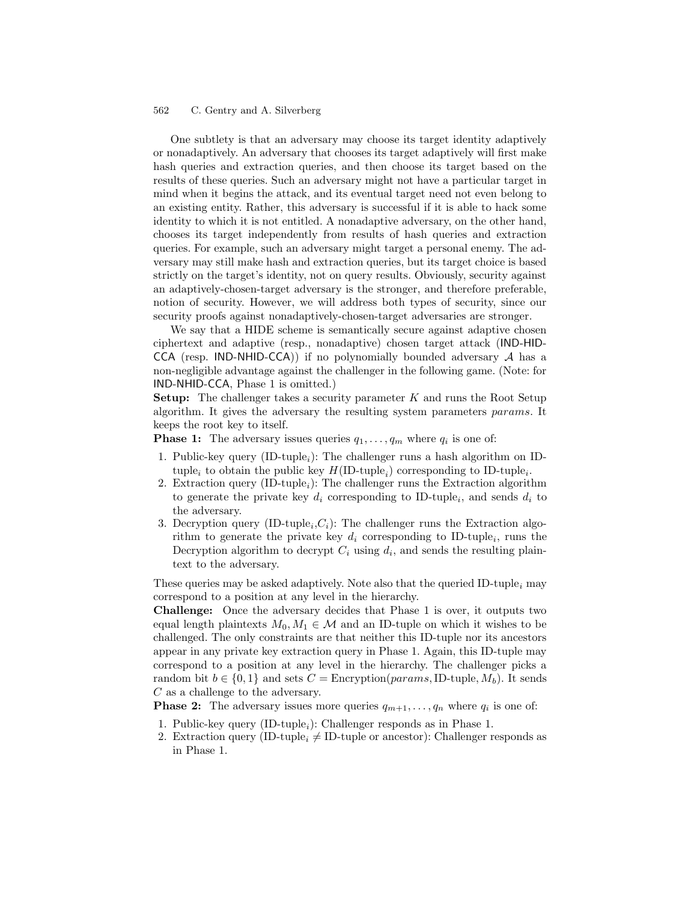One subtlety is that an adversary may choose its target identity adaptively or nonadaptively. An adversary that chooses its target adaptively will first make hash queries and extraction queries, and then choose its target based on the results of these queries. Such an adversary might not have a particular target in mind when it begins the attack, and its eventual target need not even belong to an existing entity. Rather, this adversary is successful if it is able to hack some identity to which it is not entitled. A nonadaptive adversary, on the other hand, chooses its target independently from results of hash queries and extraction queries. For example, such an adversary might target a personal enemy. The adversary may still make hash and extraction queries, but its target choice is based strictly on the target's identity, not on query results. Obviously, security against an adaptively-chosen-target adversary is the stronger, and therefore preferable, notion of security. However, we will address both types of security, since our security proofs against nonadaptively-chosen-target adversaries are stronger.

We say that a HIDE scheme is semantically secure against adaptive chosen ciphertext and adaptive (resp., nonadaptive) chosen target attack (IND-HID-CCA (resp. IND-NHID-CCA)) if no polynomially bounded adversary  $A$  has a non-negligible advantage against the challenger in the following game. (Note: for IND-NHID-CCA, Phase 1 is omitted.)

**Setup:** The challenger takes a security parameter  $K$  and runs the Root Setup algorithm. It gives the adversary the resulting system parameters params. It keeps the root key to itself.

**Phase 1:** The adversary issues queries  $q_1, \ldots, q_m$  where  $q_i$  is one of:

- 1. Public-key query (ID-tuple<sub>i</sub>): The challenger runs a hash algorithm on IDtuple<sub>i</sub> to obtain the public key  $H(\text{ID-tuple}_i)$  corresponding to ID-tuple<sub>i</sub>.
- 2. Extraction query  $(ID-tuple<sub>i</sub>)$ : The challenger runs the Extraction algorithm to generate the private key  $d_i$  corresponding to ID-tuple<sub>i</sub>, and sends  $d_i$  to the adversary.
- 3. Decryption query (ID-tuple<sub>i</sub>, $C_i$ ): The challenger runs the Extraction algorithm to generate the private key  $d_i$  corresponding to ID-tuple<sub>i</sub>, runs the Decryption algorithm to decrypt  $C_i$  using  $d_i$ , and sends the resulting plaintext to the adversary.

These queries may be asked adaptively. Note also that the queried ID-tuple<sub>i</sub> may correspond to a position at any level in the hierarchy.

Challenge: Once the adversary decides that Phase 1 is over, it outputs two equal length plaintexts  $M_0, M_1 \in \mathcal{M}$  and an ID-tuple on which it wishes to be challenged. The only constraints are that neither this ID-tuple nor its ancestors appear in any private key extraction query in Phase 1. Again, this ID-tuple may correspond to a position at any level in the hierarchy. The challenger picks a random bit  $b \in \{0, 1\}$  and sets  $C = \text{Encryption}(params, \text{ID-tuple}, M_b)$ . It sends C as a challenge to the adversary.

**Phase 2:** The adversary issues more queries  $q_{m+1}, \ldots, q_n$  where  $q_i$  is one of:

- 1. Public-key query (ID-tuple<sub>i</sub>): Challenger responds as in Phase 1.
- 2. Extraction query (ID-tuple<sub>i</sub>  $\neq$  ID-tuple or ancestor): Challenger responds as in Phase 1.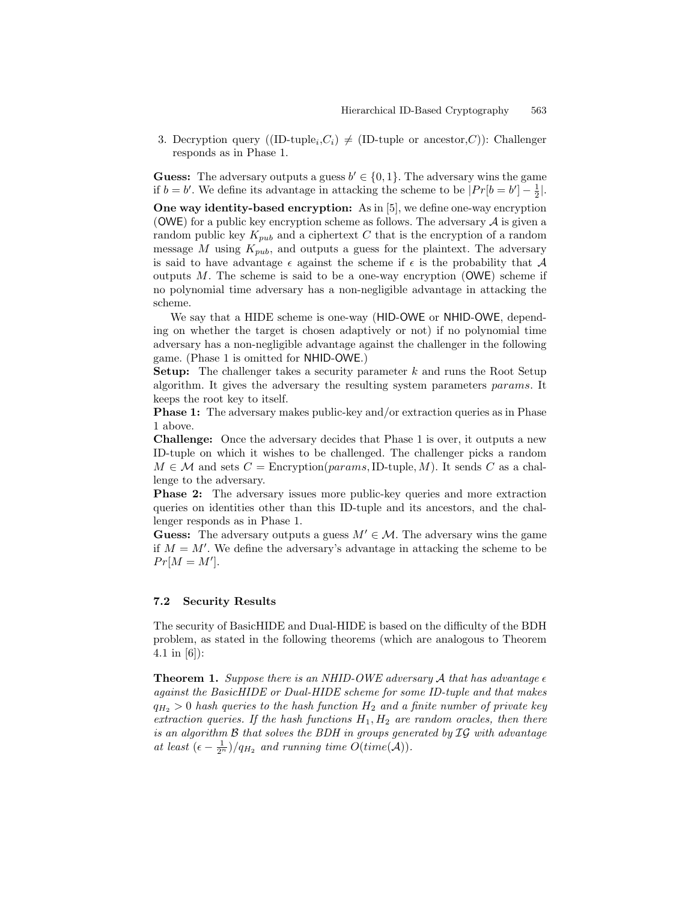3. Decryption query  $((ID\text{-tuple}_i, C_i) \neq (ID\text{-tuple or ancestor}, C))$ : Challenger responds as in Phase 1.

**Guess:** The adversary outputs a guess  $b' \in \{0, 1\}$ . The adversary wins the game if  $b = b'$ . We define its advantage in attacking the scheme to be  $|Pr[b = b'] - \frac{1}{2}|$ .

One way identity-based encryption: As in [5], we define one-way encryption (OWE) for a public key encryption scheme as follows. The adversary  $\mathcal A$  is given a random public key  $K_{pub}$  and a ciphertext C that is the encryption of a random message M using  $K_{pub}$ , and outputs a guess for the plaintext. The adversary is said to have advantage  $\epsilon$  against the scheme if  $\epsilon$  is the probability that A outputs  $M$ . The scheme is said to be a one-way encryption  $(OWE)$  scheme if no polynomial time adversary has a non-negligible advantage in attacking the scheme.

We say that a HIDE scheme is one-way (HID-OWE or NHID-OWE, depending on whether the target is chosen adaptively or not) if no polynomial time adversary has a non-negligible advantage against the challenger in the following game. (Phase 1 is omitted for NHID-OWE.)

**Setup:** The challenger takes a security parameter  $k$  and runs the Root Setup algorithm. It gives the adversary the resulting system parameters params. It keeps the root key to itself.

Phase 1: The adversary makes public-key and/or extraction queries as in Phase 1 above.

Challenge: Once the adversary decides that Phase 1 is over, it outputs a new ID-tuple on which it wishes to be challenged. The challenger picks a random  $M \in \mathcal{M}$  and sets  $C = \text{Encryption}(params, \text{ID-tuple}, M)$ . It sends C as a challenge to the adversary.

Phase 2: The adversary issues more public-key queries and more extraction queries on identities other than this ID-tuple and its ancestors, and the challenger responds as in Phase 1.

**Guess:** The adversary outputs a guess  $M' \in \mathcal{M}$ . The adversary wins the game if  $M = M'$ . We define the adversary's advantage in attacking the scheme to be  $Pr[M = M'].$ 

# 7.2 Security Results

The security of BasicHIDE and Dual-HIDE is based on the difficulty of the BDH problem, as stated in the following theorems (which are analogous to Theorem 4.1 in [6]):

**Theorem 1.** Suppose there is an NHID-OWE adversary A that has advantage  $\epsilon$ against the BasicHIDE or Dual-HIDE scheme for some ID-tuple and that makes  $q_H<sub>2</sub> > 0$  hash queries to the hash function  $H<sub>2</sub>$  and a finite number of private key extraction queries. If the hash functions  $H_1, H_2$  are random oracles, then there is an algorithm B that solves the BDH in groups generated by IG with advantage at least  $(\epsilon - \frac{1}{2^n})/q_{H_2}$  and running time  $O(time(\mathcal{A}))$ .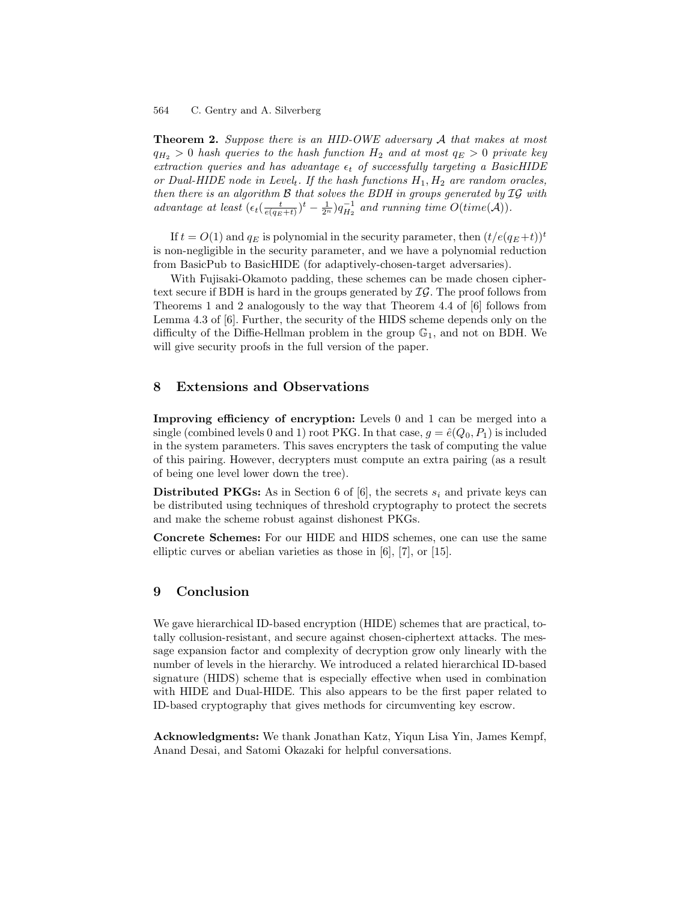**Theorem 2.** Suppose there is an HID-OWE adversary A that makes at most  $q_{H_2} > 0$  hash queries to the hash function  $H_2$  and at most  $q_E > 0$  private key extraction queries and has advantage  $\epsilon_t$  of successfully targeting a BasicHIDE or Dual-HIDE node in Level<sub>t</sub>. If the hash functions  $H_1, H_2$  are random oracles, then there is an algorithm  $\beta$  that solves the BDH in groups generated by  $IG$  with advantage at least  $(\epsilon_t(\frac{t}{e(q_E+t)})^t-\frac{1}{2^n})q_{H_2}^{-1}$  and running time  $O(time(\mathcal{A}))$ .

If  $t = O(1)$  and  $q_E$  is polynomial in the security parameter, then  $(t/e(q_E+t))^t$ is non-negligible in the security parameter, and we have a polynomial reduction from BasicPub to BasicHIDE (for adaptively-chosen-target adversaries).

With Fujisaki-Okamoto padding, these schemes can be made chosen ciphertext secure if BDH is hard in the groups generated by  $IG$ . The proof follows from Theorems 1 and 2 analogously to the way that Theorem 4.4 of [6] follows from Lemma 4.3 of [6]. Further, the security of the HIDS scheme depends only on the difficulty of the Diffie-Hellman problem in the group  $\mathbb{G}_1$ , and not on BDH. We will give security proofs in the full version of the paper.

# 8 Extensions and Observations

Improving efficiency of encryption: Levels 0 and 1 can be merged into a single (combined levels 0 and 1) root PKG. In that case,  $g = \hat{e}(Q_0, P_1)$  is included in the system parameters. This saves encrypters the task of computing the value of this pairing. However, decrypters must compute an extra pairing (as a result of being one level lower down the tree).

**Distributed PKGs:** As in Section 6 of [6], the secrets  $s_i$  and private keys can be distributed using techniques of threshold cryptography to protect the secrets and make the scheme robust against dishonest PKGs.

Concrete Schemes: For our HIDE and HIDS schemes, one can use the same elliptic curves or abelian varieties as those in [6], [7], or [15].

# 9 Conclusion

We gave hierarchical ID-based encryption (HIDE) schemes that are practical, totally collusion-resistant, and secure against chosen-ciphertext attacks. The message expansion factor and complexity of decryption grow only linearly with the number of levels in the hierarchy. We introduced a related hierarchical ID-based signature (HIDS) scheme that is especially effective when used in combination with HIDE and Dual-HIDE. This also appears to be the first paper related to ID-based cryptography that gives methods for circumventing key escrow.

Acknowledgments: We thank Jonathan Katz, Yiqun Lisa Yin, James Kempf, Anand Desai, and Satomi Okazaki for helpful conversations.